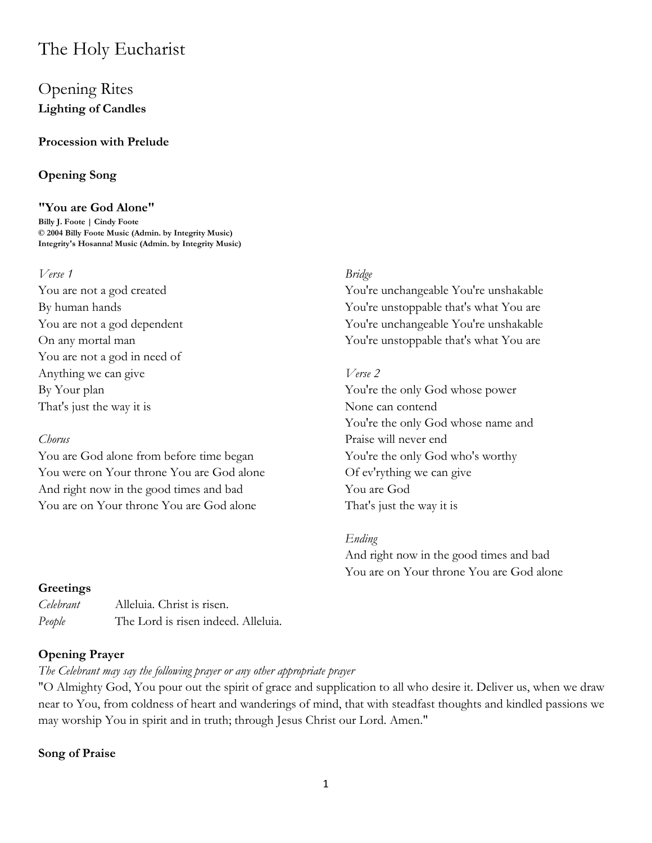# The Holy Eucharist

# Opening Rites **Lighting of Candles**

#### **Procession with Prelude**

### **Opening Song**

#### **"You are God Alone"**

**Billy J. Foote | Cindy Foote © 2004 Billy Foote Music (Admin. by Integrity Music) Integrity's Hosanna! Music (Admin. by Integrity Music)**

#### *Verse 1*

You are not a god created By human hands You are not a god dependent On any mortal man You are not a god in need of Anything we can give By Your plan That's just the way it is

#### *Chorus*

You are God alone from before time began You were on Your throne You are God alone And right now in the good times and bad You are on Your throne You are God alone

#### *Bridge*

You're unchangeable You're unshakable You're unstoppable that's what You are You're unchangeable You're unshakable You're unstoppable that's what You are

#### *Verse 2*

You're the only God whose power None can contend You're the only God whose name and Praise will never end You're the only God who's worthy Of ev'rything we can give You are God That's just the way it is

#### *Ending*

And right now in the good times and bad You are on Your throne You are God alone

#### **Greetings**

*Celebrant* Alleluia. Christ is risen. *People* The Lord is risen indeed. Alleluia.

### **Opening Prayer**

*The Celebrant may say the following prayer or any other appropriate prayer*

"O Almighty God, You pour out the spirit of grace and supplication to all who desire it. Deliver us, when we draw near to You, from coldness of heart and wanderings of mind, that with steadfast thoughts and kindled passions we may worship You in spirit and in truth; through Jesus Christ our Lord. Amen."

#### **Song of Praise**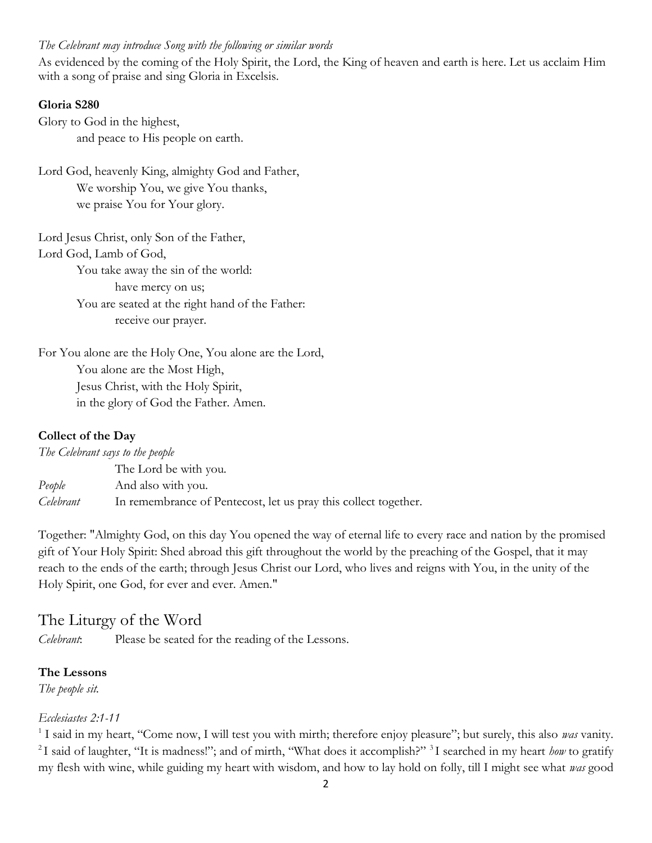#### *The Celebrant may introduce Song with the following or similar words*

As evidenced by the coming of the Holy Spirit, the Lord, the King of heaven and earth is here. Let us acclaim Him with a song of praise and sing Gloria in Excelsis.

### **Gloria S280**

Glory to God in the highest, and peace to His people on earth.

Lord God, heavenly King, almighty God and Father, We worship You, we give You thanks, we praise You for Your glory.

Lord Jesus Christ, only Son of the Father,

Lord God, Lamb of God,

You take away the sin of the world: have mercy on us; You are seated at the right hand of the Father: receive our prayer.

For You alone are the Holy One, You alone are the Lord, You alone are the Most High, Jesus Christ, with the Holy Spirit, in the glory of God the Father. Amen.

## **Collect of the Day**

*The Celebrant says to the people* The Lord be with you. *People* And also with you. *Celebrant* In remembrance of Pentecost, let us pray this collect together.

Together: "Almighty God, on this day You opened the way of eternal life to every race and nation by the promised gift of Your Holy Spirit: Shed abroad this gift throughout the world by the preaching of the Gospel, that it may reach to the ends of the earth; through Jesus Christ our Lord, who lives and reigns with You, in the unity of the Holy Spirit, one God, for ever and ever. Amen."

# The Liturgy of the Word

*Celebrant*: Please be seated for the reading of the Lessons.

### **The Lessons**

*The people sit.* 

### *Ecclesiastes 2:1-11*

<sup>1</sup> I said in my heart, "Come now, I will test you with mirth; therefore enjoy pleasure"; but surely, this also was vanity. <sup>2</sup>I said of laughter, "It is madness!"; and of mirth, "What does it accomplish?" <sup>3</sup>I searched in my heart *how* to gratify my flesh with wine, while guiding my heart with wisdom, and how to lay hold on folly, till I might see what *was* good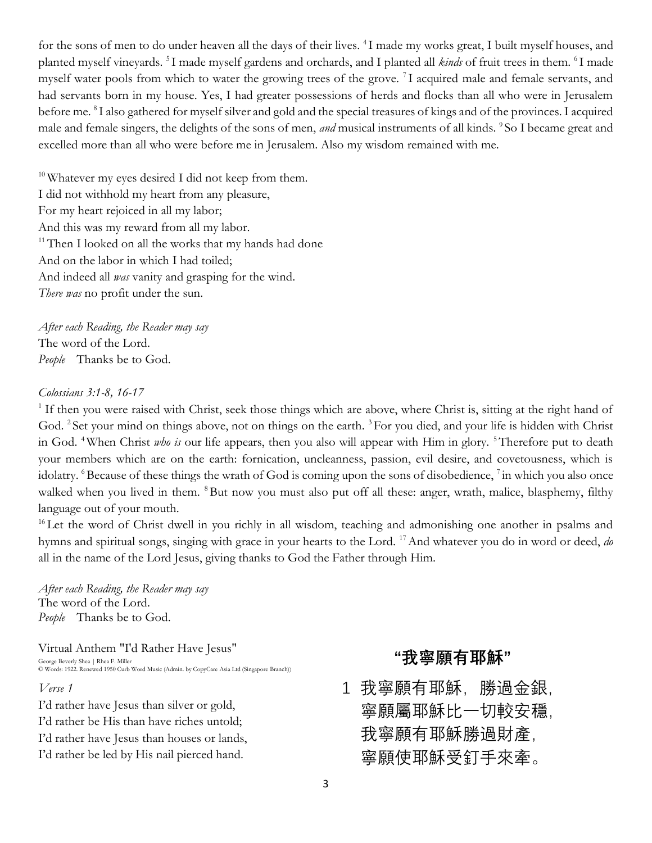for the sons of men to do under heaven all the days of their lives. <sup>4</sup>I made my works great, I built myself houses, and planted myself vineyards.<sup>5</sup>I made myself gardens and orchards, and I planted all *kinds* of fruit trees in them.<sup>6</sup>I made myself water pools from which to water the growing trees of the grove. <sup>7</sup>I acquired male and female servants, and had servants born in my house. Yes, I had greater possessions of herds and flocks than all who were in Jerusalem before me. <sup>8</sup>I also gathered for myself silver and gold and the special treasures of kings and of the provinces. I acquired male and female singers, the delights of the sons of men, *and* musical instruments of all kinds. <sup>9</sup>So I became great and excelled more than all who were before me in Jerusalem. Also my wisdom remained with me.

<sup>10</sup>Whatever my eyes desired I did not keep from them. I did not withhold my heart from any pleasure, For my heart rejoiced in all my labor; And this was my reward from all my labor. <sup>11</sup>Then I looked on all the works that my hands had done And on the labor in which I had toiled; And indeed all *was* vanity and grasping for the wind. *There was* no profit under the sun.

*After each Reading, the Reader may say* The word of the Lord. *People* Thanks be to God.

#### *Colossians 3:1-8, 16-17*

<sup>1</sup> If then you were raised with Christ, seek those things which are above, where Christ is, sitting at the right hand of God. <sup>2</sup> Set your mind on things above, not on things on the earth. <sup>3</sup> For you died, and your life is hidden with Christ in God. <sup>4</sup>When Christ *who is* our life appears, then you also will appear with Him in glory. <sup>5</sup>Therefore put to death your members which are on the earth: fornication, uncleanness, passion, evil desire, and covetousness, which is idolatry. <sup>6</sup> Because of these things the wrath of God is coming upon the sons of disobedience, <sup>7</sup> in which you also once walked when you lived in them. <sup>8</sup>But now you must also put off all these: anger, wrath, malice, blasphemy, filthy language out of your mouth.

 $^{16}$  Let the word of Christ dwell in you richly in all wisdom, teaching and admonishing one another in psalms and hymns and spiritual songs, singing with grace in your hearts to the Lord. <sup>17</sup> And whatever you do in word or deed, *do* all in the name of the Lord Jesus, giving thanks to God the Father through Him.

*After each Reading, the Reader may say* The word of the Lord. *People* Thanks be to God.

Virtual Anthem "I'd Rather Have Jesus" George Beverly Shea | Rhea F. Miller © Words: 1922. Renewed 1950 Curb Word Music (Admin. by CopyCare Asia Ltd (Singapore Branch))

#### *Verse 1*

I'd rather have Jesus than silver or gold, I'd rather be His than have riches untold; I'd rather have Jesus than houses or lands, I'd rather be led by His nail pierced hand.

# **"我寧願有耶穌"**

1 我寧願有耶穌, 勝過金銀, 寧願屬耶穌比一切較安穩, 我寧願有耶穌勝過財產, 寧願使耶穌受釘手來牽。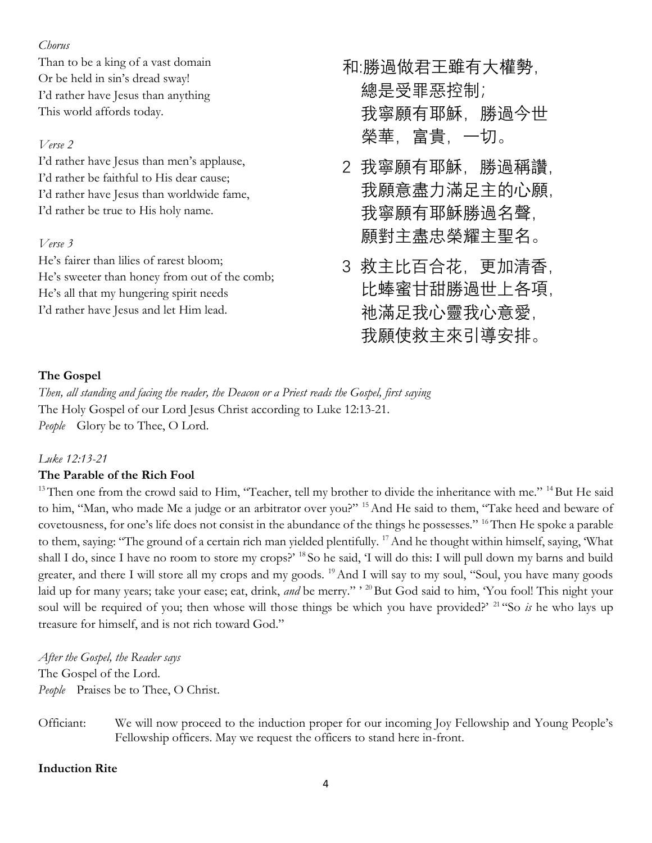#### *Chorus*

Than to be a king of a vast domain Or be held in sin's dread sway! I'd rather have Jesus than anything This world affords today.

#### *Verse 2*

I'd rather have Jesus than men's applause, I'd rather be faithful to His dear cause; I'd rather have Jesus than worldwide fame, I'd rather be true to His holy name.

#### *Verse 3*

He's fairer than lilies of rarest bloom; He's sweeter than honey from out of the comb; He's all that my hungering spirit needs I'd rather have Jesus and let Him lead.

- 和:勝過做君王雖有大權勢, 總是受罪惡控制; 我寧願有耶穌,勝過今世 榮華, 富貴, 一切。
- 2 我寧願有耶穌,勝過稱讚, 我願意盡力滿足主的心願, 我寧願有耶穌勝過名聲, 願對主盡忠榮耀主聖名。
- 3 救主比百合花,更加清香, 比蜯蜜甘甜勝過世上各項, 祂滿足我心靈我心意愛, 我願使救主來引導安排。

### **The Gospel**

*Then, all standing and facing the reader, the Deacon or a Priest reads the Gospel, first saying* The Holy Gospel of our Lord Jesus Christ according to Luke 12:13-21. *People* Glory be to Thee, O Lord.

### *Luke 12:13-21*

### **The Parable of the Rich Fool**

<sup>13</sup>Then one from the crowd said to Him, "Teacher, tell my brother to divide the inheritance with me." <sup>14</sup>But He said to him, "Man, who made Me a judge or an arbitrator over you?" <sup>15</sup> And He said to them, "Take heed and beware of covetousness, for one's life does not consist in the abundance of the things he possesses." <sup>16</sup>Then He spoke a parable to them, saying: "The ground of a certain rich man yielded plentifully. <sup>17</sup> And he thought within himself, saying, 'What shall I do, since I have no room to store my crops?' <sup>18</sup> So he said, 'I will do this: I will pull down my barns and build greater, and there I will store all my crops and my goods. <sup>19</sup> And I will say to my soul, "Soul, you have many goods laid up for many years; take your ease; eat, drink, *and* be merry." <sup>20</sup>But God said to him, 'You fool! This night your soul will be required of you; then whose will those things be which you have provided?' <sup>21</sup> "So *is* he who lays up treasure for himself, and is not rich toward God."

*After the Gospel, the Reader says* The Gospel of the Lord. *People* Praises be to Thee, O Christ.

Officiant: We will now proceed to the induction proper for our incoming Joy Fellowship and Young People's Fellowship officers. May we request the officers to stand here in-front.

#### **Induction Rite**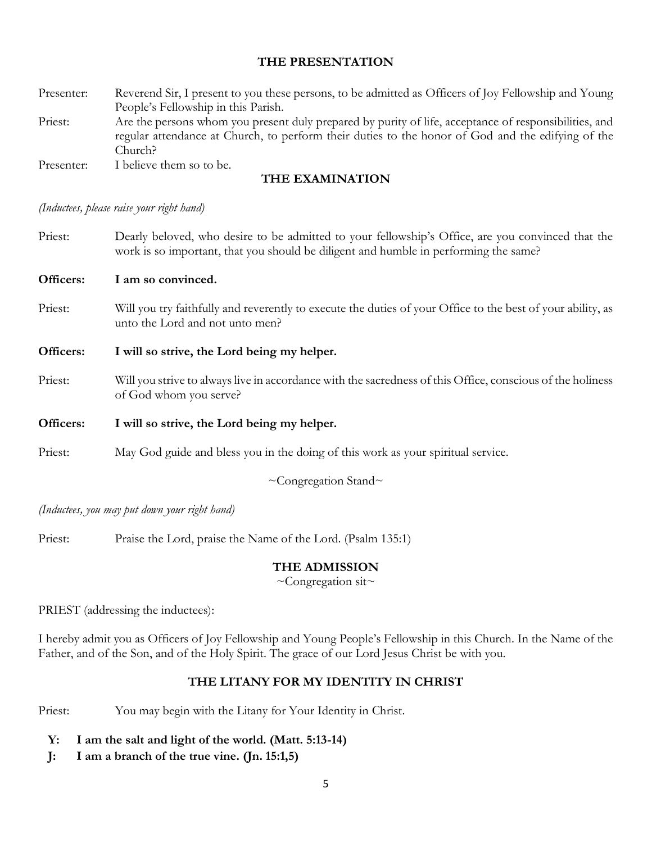#### **THE PRESENTATION**

| Presenter: | Reverend Sir, I present to you these persons, to be admitted as Officers of Joy Fellowship and Young  |
|------------|-------------------------------------------------------------------------------------------------------|
|            | People's Fellowship in this Parish.                                                                   |
| Priest:    | Are the persons whom you present duly prepared by purity of life, acceptance of responsibilities, and |
|            | regular attendance at Church, to perform their duties to the honor of God and the edifying of the     |
|            | Church?                                                                                               |
| Presenter: | I believe them so to be.                                                                              |

#### **THE EXAMINATION**

#### *(Inductees, please raise your right hand)*

Priest: Dearly beloved, who desire to be admitted to your fellowship's Office, are you convinced that the work is so important, that you should be diligent and humble in performing the same?

#### **Officers: I am so convinced.**

Priest: Will you try faithfully and reverently to execute the duties of your Office to the best of your ability, as unto the Lord and not unto men?

#### **Officers: I will so strive, the Lord being my helper.**

Priest: Will you strive to always live in accordance with the sacredness of this Office, conscious of the holiness of God whom you serve?

#### **Officers: I will so strive, the Lord being my helper.**

Priest: May God guide and bless you in the doing of this work as your spiritual service.

 $\sim$ Congregation Stand $\sim$ 

#### *(Inductees, you may put down your right hand)*

Priest: Praise the Lord, praise the Name of the Lord. (Psalm 135:1)

#### **THE ADMISSION**

 $\sim$ Congregation sit $\sim$ 

PRIEST (addressing the inductees):

I hereby admit you as Officers of Joy Fellowship and Young People's Fellowship in this Church. In the Name of the Father, and of the Son, and of the Holy Spirit. The grace of our Lord Jesus Christ be with you.

#### **THE LITANY FOR MY IDENTITY IN CHRIST**

Priest: You may begin with the Litany for Your Identity in Christ.

- **Y: I am the salt and light of the world. (Matt. 5:13-14)**
- **J: I am a branch of the true vine. (Jn. 15:1,5)**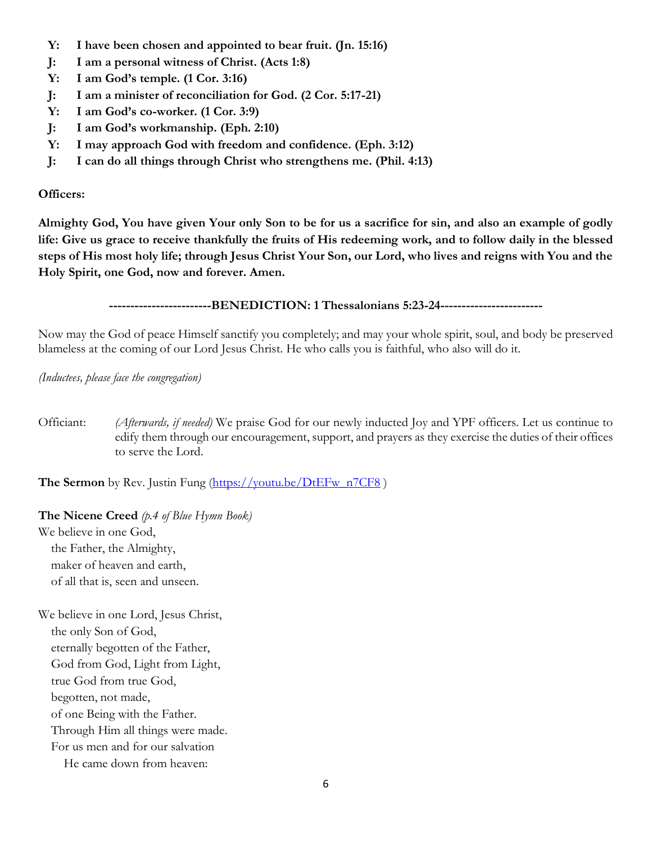- **Y: I have been chosen and appointed to bear fruit. (Jn. 15:16)**
- **J: I am a personal witness of Christ. (Acts 1:8)**
- **Y: I am God's temple. (1 Cor. 3:16)**
- **J: I am a minister of reconciliation for God. (2 Cor. 5:17-21)**
- **Y: I am God's co-worker. (1 Cor. 3:9)**
- **J: I am God's workmanship. (Eph. 2:10)**
- **Y: I may approach God with freedom and confidence. (Eph. 3:12)**
- **J: I can do all things through Christ who strengthens me. (Phil. 4:13)**

#### **Officers:**

**Almighty God, You have given Your only Son to be for us a sacrifice for sin, and also an example of godly life: Give us grace to receive thankfully the fruits of His redeeming work, and to follow daily in the blessed steps of His most holy life; through Jesus Christ Your Son, our Lord, who lives and reigns with You and the Holy Spirit, one God, now and forever. Amen.**

#### **------------------------BENEDICTION: 1 Thessalonians 5:23-24------------------------**

Now may the God of peace Himself sanctify you completely; and may your whole spirit, soul, and body be preserved blameless at the coming of our Lord Jesus Christ. He who calls you is faithful, who also will do it.

*(Inductees, please face the congregation)*

Officiant: *(Afterwards, if needed)* We praise God for our newly inducted Joy and YPF officers. Let us continue to edify them through our encouragement, support, and prayers as they exercise the duties of their offices to serve the Lord.

**The Sermon** by Rev. Justin Fung [\(https://youtu.be/DtEFw\\_n7CF8](https://youtu.be/DtEFw_n7CF8))

**The Nicene Creed** *(p.4 of Blue Hymn Book)* We believe in one God, the Father, the Almighty, maker of heaven and earth,

of all that is, seen and unseen.

We believe in one Lord, Jesus Christ, the only Son of God, eternally begotten of the Father, God from God, Light from Light, true God from true God, begotten, not made, of one Being with the Father. Through Him all things were made. For us men and for our salvation He came down from heaven: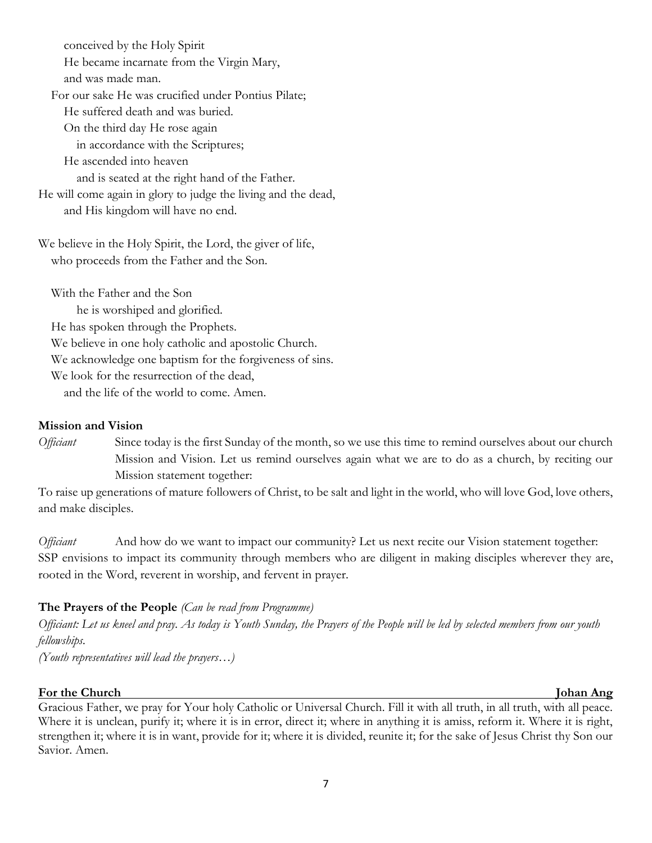conceived by the Holy Spirit He became incarnate from the Virgin Mary, and was made man. For our sake He was crucified under Pontius Pilate; He suffered death and was buried. On the third day He rose again in accordance with the Scriptures; He ascended into heaven and is seated at the right hand of the Father. He will come again in glory to judge the living and the dead, and His kingdom will have no end. We believe in the Holy Spirit, the Lord, the giver of life, who proceeds from the Father and the Son. With the Father and the Son

he is worshiped and glorified.

 He has spoken through the Prophets. We believe in one holy catholic and apostolic Church.

We acknowledge one baptism for the forgiveness of sins.

We look for the resurrection of the dead,

and the life of the world to come. Amen.

#### **Mission and Vision**

*Officiant* Since today is the first Sunday of the month, so we use this time to remind ourselves about our church Mission and Vision. Let us remind ourselves again what we are to do as a church, by reciting our Mission statement together:

To raise up generations of mature followers of Christ, to be salt and light in the world, who will love God, love others, and make disciples.

*Officiant* And how do we want to impact our community? Let us next recite our Vision statement together: SSP envisions to impact its community through members who are diligent in making disciples wherever they are, rooted in the Word, reverent in worship, and fervent in prayer.

### **The Prayers of the People** *(Can be read from Programme)*

*Officiant: Let us kneel and pray. As today is Youth Sunday, the Prayers of the People will be led by selected members from our youth fellowships.*

*(Youth representatives will lead the prayers…)*

#### **For the Church Iohan Angles** Johan Angles **Johan Angles Iohan Angles Iohan Angles Iohan Ang**

Gracious Father, we pray for Your holy Catholic or Universal Church. Fill it with all truth, in all truth, with all peace. Where it is unclean, purify it; where it is in error, direct it; where in anything it is amiss, reform it. Where it is right, strengthen it; where it is in want, provide for it; where it is divided, reunite it; for the sake of Jesus Christ thy Son our Savior. Amen.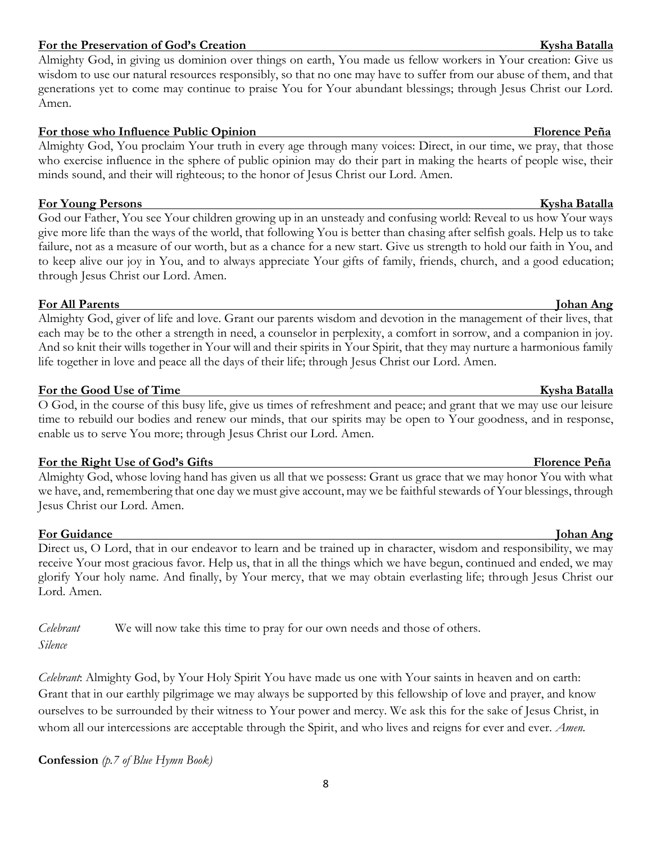#### **For the Preservation of God's Creation Kysha Batalla**

Almighty God, in giving us dominion over things on earth, You made us fellow workers in Your creation: Give us wisdom to use our natural resources responsibly, so that no one may have to suffer from our abuse of them, and that generations yet to come may continue to praise You for Your abundant blessings; through Jesus Christ our Lord. Amen.

#### **For those who Influence Public Opinion Florence Peña Florence Peña**

Almighty God, You proclaim Your truth in every age through many voices: Direct, in our time, we pray, that those who exercise influence in the sphere of public opinion may do their part in making the hearts of people wise, their minds sound, and their will righteous; to the honor of Jesus Christ our Lord. Amen.

#### **For Young Persons Kysha Batalla**

God our Father, You see Your children growing up in an unsteady and confusing world: Reveal to us how Your ways give more life than the ways of the world, that following You is better than chasing after selfish goals. Help us to take failure, not as a measure of our worth, but as a chance for a new start. Give us strength to hold our faith in You, and to keep alive our joy in You, and to always appreciate Your gifts of family, friends, church, and a good education; through Jesus Christ our Lord. Amen.

#### **For All Parents** Johan Ang *Johan Ang*

Almighty God, giver of life and love. Grant our parents wisdom and devotion in the management of their lives, that each may be to the other a strength in need, a counselor in perplexity, a comfort in sorrow, and a companion in joy. And so knit their wills together in Your will and their spirits in Your Spirit, that they may nurture a harmonious family life together in love and peace all the days of their life; through Jesus Christ our Lord. Amen.

#### **For the Good Use of Time Kysha Batalla**

O God, in the course of this busy life, give us times of refreshment and peace; and grant that we may use our leisure time to rebuild our bodies and renew our minds, that our spirits may be open to Your goodness, and in response, enable us to serve You more; through Jesus Christ our Lord. Amen.

#### **For the Right Use of God's Gifts Florence Peña**

Almighty God, whose loving hand has given us all that we possess: Grant us grace that we may honor You with what we have, and, remembering that one day we must give account, may we be faithful stewards of Your blessings, through Jesus Christ our Lord. Amen.

#### **For Guidance** Johan Ang **Johan Ang**

Direct us, O Lord, that in our endeavor to learn and be trained up in character, wisdom and responsibility, we may receive Your most gracious favor. Help us, that in all the things which we have begun, continued and ended, we may glorify Your holy name. And finally, by Your mercy, that we may obtain everlasting life; through Jesus Christ our Lord. Amen.

*Celebrant* We will now take this time to pray for our own needs and those of others. *Silence*

*Celebrant*: Almighty God, by Your Holy Spirit You have made us one with Your saints in heaven and on earth: Grant that in our earthly pilgrimage we may always be supported by this fellowship of love and prayer, and know ourselves to be surrounded by their witness to Your power and mercy. We ask this for the sake of Jesus Christ, in whom all our intercessions are acceptable through the Spirit, and who lives and reigns for ever and ever. *Amen.*

**Confession** *(p.7 of Blue Hymn Book)*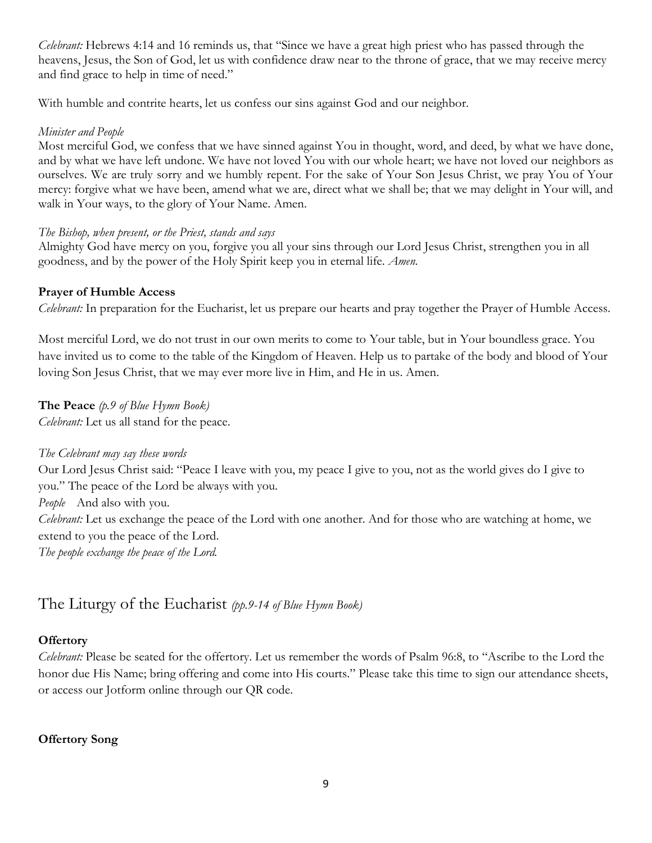*Celebrant:* Hebrews 4:14 and 16 reminds us, that "Since we have a great high priest who has passed through the heavens, Jesus, the Son of God, let us with confidence draw near to the throne of grace, that we may receive mercy and find grace to help in time of need."

With humble and contrite hearts, let us confess our sins against God and our neighbor.

#### *Minister and People*

Most merciful God, we confess that we have sinned against You in thought, word, and deed, by what we have done, and by what we have left undone. We have not loved You with our whole heart; we have not loved our neighbors as ourselves. We are truly sorry and we humbly repent. For the sake of Your Son Jesus Christ, we pray You of Your mercy: forgive what we have been, amend what we are, direct what we shall be; that we may delight in Your will, and walk in Your ways, to the glory of Your Name. Amen.

#### *The Bishop, when present, or the Priest, stands and says*

Almighty God have mercy on you, forgive you all your sins through our Lord Jesus Christ, strengthen you in all goodness, and by the power of the Holy Spirit keep you in eternal life. *Amen.*

### **Prayer of Humble Access**

*Celebrant:* In preparation for the Eucharist, let us prepare our hearts and pray together the Prayer of Humble Access.

Most merciful Lord, we do not trust in our own merits to come to Your table, but in Your boundless grace. You have invited us to come to the table of the Kingdom of Heaven. Help us to partake of the body and blood of Your loving Son Jesus Christ, that we may ever more live in Him, and He in us. Amen.

**The Peace** *(p.9 of Blue Hymn Book) Celebrant:* Let us all stand for the peace.

#### *The Celebrant may say these words*

Our Lord Jesus Christ said: "Peace I leave with you, my peace I give to you, not as the world gives do I give to you." The peace of the Lord be always with you. *People* And also with you.

*Celebrant:* Let us exchange the peace of the Lord with one another. And for those who are watching at home, we extend to you the peace of the Lord.

*The people exchange the peace of the Lord.*

# The Liturgy of the Eucharist *(pp.9-14 of Blue Hymn Book)*

### **Offertory**

*Celebrant:* Please be seated for the offertory. Let us remember the words of Psalm 96:8, to "Ascribe to the Lord the honor due His Name; bring offering and come into His courts." Please take this time to sign our attendance sheets, or access our Jotform online through our QR code.

**Offertory Song**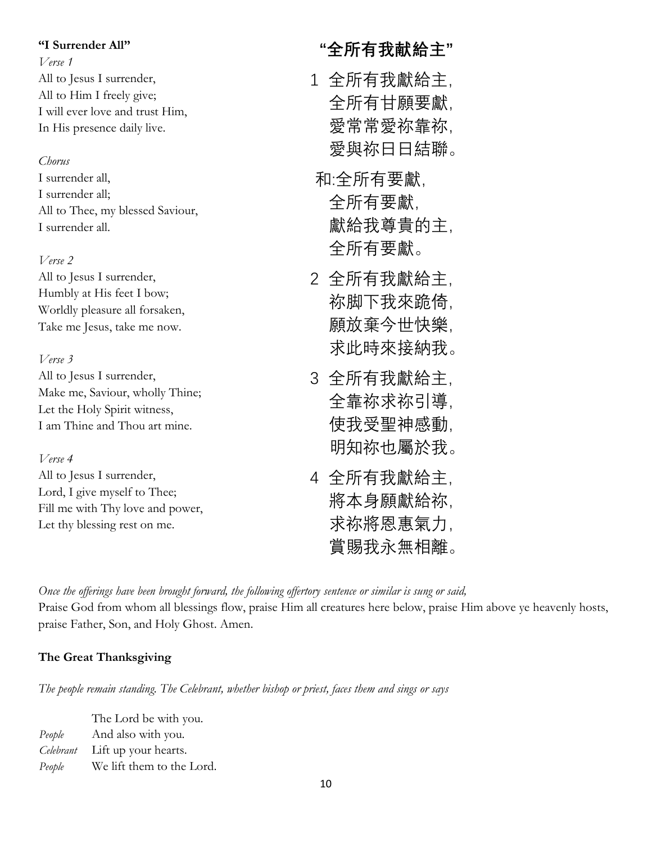#### **"I Surrender All"**

*Verse 1* All to Jesus I surrender, All to Him I freely give; I will ever love and trust Him, In His presence daily live.

#### *Chorus*

I surrender all, I surrender all; All to Thee, my blessed Saviour, I surrender all.

### *Verse 2*

All to Jesus I surrender, Humbly at His feet I bow; Worldly pleasure all forsaken, Take me Jesus, take me now.

### *Verse 3*

All to Jesus I surrender, Make me, Saviour, wholly Thine; Let the Holy Spirit witness, I am Thine and Thou art mine.

*Verse 4* All to Jesus I surrender, Lord, I give myself to Thee; Fill me with Thy love and power, Let thy blessing rest on me.

# **"全所有我献給主"**

- 1 全所有我獻給主, 全所有甘願要獻, 愛常常愛祢靠祢, 愛與祢日日結聯。
- 和:全所有要獻, 全所有要獻, 獻給我尊貴的主, 全所有要獻。
- 2 全所有我獻給主, 祢脚下我來跪倚, 願放棄今世快樂, 求此時來接納我。
- 3 全所有我獻給主, 全靠祢求祢引導, 使我受聖神感動, 明知祢也屬於我。
- 4 全所有我獻給主, 將本身願獻給祢, 求祢將恩惠氣力, 賞賜我永無相離。

*Once the offerings have been brought forward, the following offertory sentence or similar is sung or said,* Praise God from whom all blessings flow, praise Him all creatures here below, praise Him above ye heavenly hosts, praise Father, Son, and Holy Ghost. Amen.

## **The Great Thanksgiving**

*The people remain standing. The Celebrant, whether bishop or priest, faces them and sings or says*

The Lord be with you. *People* And also with you. *Celebrant* Lift up your hearts. *People* We lift them to the Lord.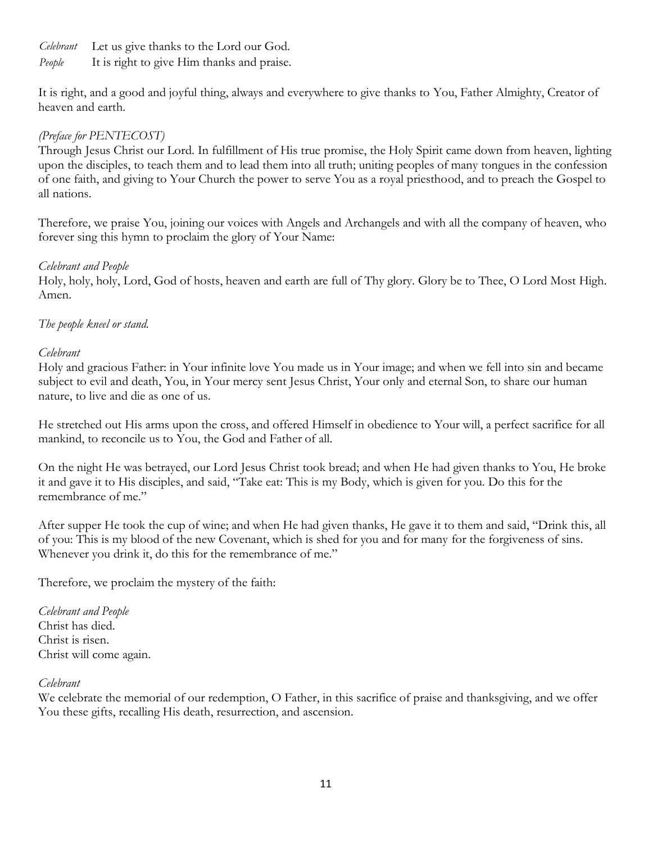*Celebrant* Let us give thanks to the Lord our God.

*People* It is right to give Him thanks and praise.

It is right, and a good and joyful thing, always and everywhere to give thanks to You, Father Almighty, Creator of heaven and earth.

#### *(Preface for PENTECOST)*

Through Jesus Christ our Lord. In fulfillment of His true promise, the Holy Spirit came down from heaven, lighting upon the disciples, to teach them and to lead them into all truth; uniting peoples of many tongues in the confession of one faith, and giving to Your Church the power to serve You as a royal priesthood, and to preach the Gospel to all nations.

Therefore, we praise You, joining our voices with Angels and Archangels and with all the company of heaven, who forever sing this hymn to proclaim the glory of Your Name:

#### *Celebrant and People*

Holy, holy, holy, Lord, God of hosts, heaven and earth are full of Thy glory. Glory be to Thee, O Lord Most High. Amen.

#### *The people kneel or stand.*

#### *Celebrant*

Holy and gracious Father: in Your infinite love You made us in Your image; and when we fell into sin and became subject to evil and death, You, in Your mercy sent Jesus Christ, Your only and eternal Son, to share our human nature, to live and die as one of us.

He stretched out His arms upon the cross, and offered Himself in obedience to Your will, a perfect sacrifice for all mankind, to reconcile us to You, the God and Father of all.

On the night He was betrayed, our Lord Jesus Christ took bread; and when He had given thanks to You, He broke it and gave it to His disciples, and said, "Take eat: This is my Body, which is given for you. Do this for the remembrance of me."

After supper He took the cup of wine; and when He had given thanks, He gave it to them and said, "Drink this, all of you: This is my blood of the new Covenant, which is shed for you and for many for the forgiveness of sins. Whenever you drink it, do this for the remembrance of me."

Therefore, we proclaim the mystery of the faith:

*Celebrant and People* Christ has died. Christ is risen. Christ will come again.

#### *Celebrant*

We celebrate the memorial of our redemption, O Father, in this sacrifice of praise and thanksgiving, and we offer You these gifts, recalling His death, resurrection, and ascension.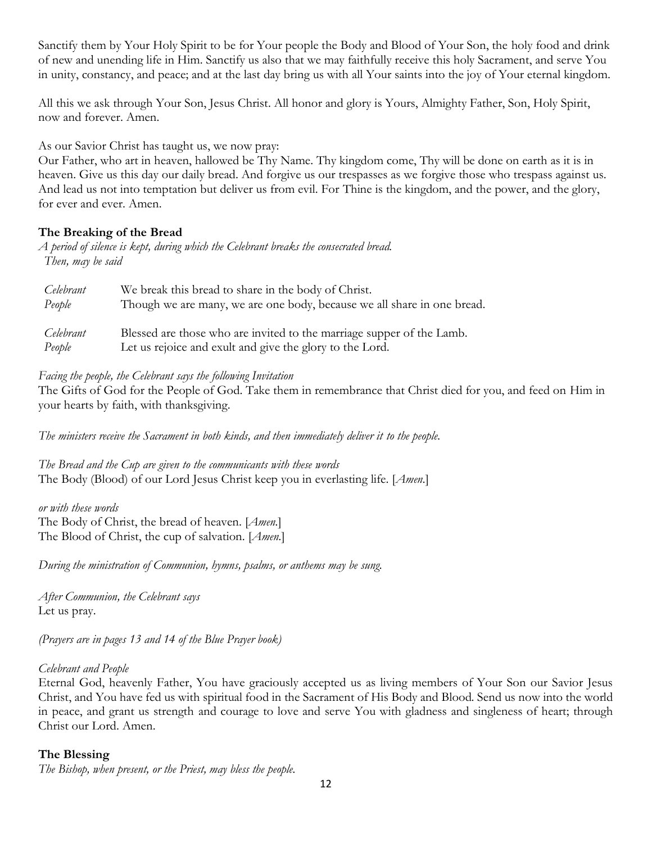Sanctify them by Your Holy Spirit to be for Your people the Body and Blood of Your Son, the holy food and drink of new and unending life in Him. Sanctify us also that we may faithfully receive this holy Sacrament, and serve You in unity, constancy, and peace; and at the last day bring us with all Your saints into the joy of Your eternal kingdom.

All this we ask through Your Son, Jesus Christ. All honor and glory is Yours, Almighty Father, Son, Holy Spirit, now and forever. Amen.

As our Savior Christ has taught us, we now pray:

Our Father, who art in heaven, hallowed be Thy Name. Thy kingdom come, Thy will be done on earth as it is in heaven. Give us this day our daily bread. And forgive us our trespasses as we forgive those who trespass against us. And lead us not into temptation but deliver us from evil. For Thine is the kingdom, and the power, and the glory, for ever and ever. Amen.

#### **The Breaking of the Bread**

*A period of silence is kept, during which the Celebrant breaks the consecrated bread. Then, may be said*

| Celebrant | We break this bread to share in the body of Christ.                     |
|-----------|-------------------------------------------------------------------------|
| People    | Though we are many, we are one body, because we all share in one bread. |
| Celebrant | Blessed are those who are invited to the marriage supper of the Lamb.   |
| People    | Let us rejoice and exult and give the glory to the Lord.                |

#### *Facing the people, the Celebrant says the following Invitation*

The Gifts of God for the People of God. Take them in remembrance that Christ died for you, and feed on Him in your hearts by faith, with thanksgiving.

*The ministers receive the Sacrament in both kinds, and then immediately deliver it to the people.*

*The Bread and the Cup are given to the communicants with these words* The Body (Blood) of our Lord Jesus Christ keep you in everlasting life. [*Amen.*]

*or with these words* The Body of Christ, the bread of heaven. [*Amen.*] The Blood of Christ, the cup of salvation. [*Amen.*]

*During the ministration of Communion, hymns, psalms, or anthems may be sung.*

*After Communion, the Celebrant says* Let us pray.

*(Prayers are in pages 13 and 14 of the Blue Prayer book)*

#### *Celebrant and People*

Eternal God, heavenly Father, You have graciously accepted us as living members of Your Son our Savior Jesus Christ, and You have fed us with spiritual food in the Sacrament of His Body and Blood. Send us now into the world in peace, and grant us strength and courage to love and serve You with gladness and singleness of heart; through Christ our Lord. Amen.

#### **The Blessing**

*The Bishop, when present, or the Priest, may bless the people.*